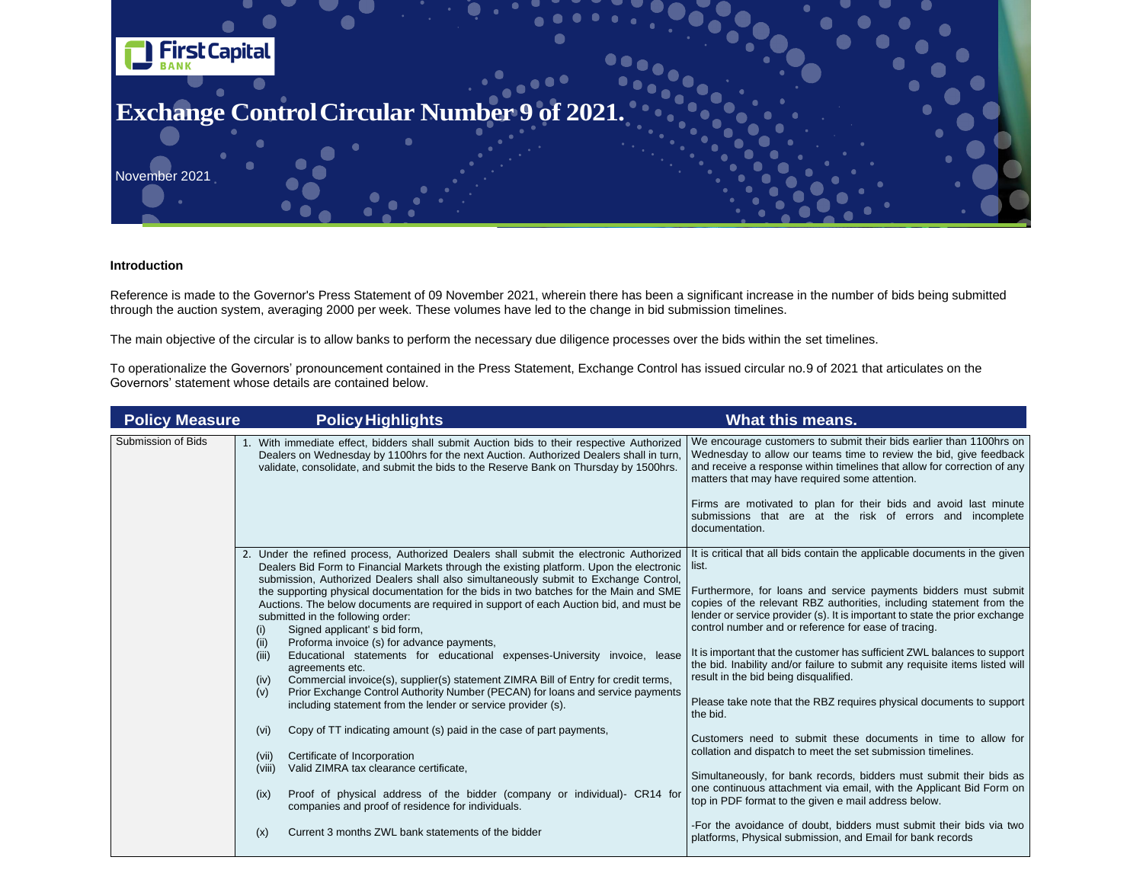

## **Introduction**

Reference is made to the Governor's Press Statement of 09 November 2021, wherein there has been a significant increase in the number of bids being submitted through the auction system, averaging 2000 per week. These volumes have led to the change in bid submission timelines.

The main objective of the circular is to allow banks to perform the necessary due diligence processes over the bids within the set timelines.

To operationalize the Governors' pronouncement contained in the Press Statement, Exchange Control has issued circular no.9 of 2021 that articulates on the Governors' statement whose details are contained below.

| <b>Policy Measure</b>     | <b>Policy Highlights</b>                                                                                                                                                                                                                                                                                                                                                                                                                                                                                                                                                                                                                                                                                                                                                                                                                                                                                                                                                                                                                                                                                                                                                                                                                                                                                                                             | <b>What this means.</b>                                                                                                                                                                                                                                                                                                                                                                                                                                                                                                                                                                                                                                           |
|---------------------------|------------------------------------------------------------------------------------------------------------------------------------------------------------------------------------------------------------------------------------------------------------------------------------------------------------------------------------------------------------------------------------------------------------------------------------------------------------------------------------------------------------------------------------------------------------------------------------------------------------------------------------------------------------------------------------------------------------------------------------------------------------------------------------------------------------------------------------------------------------------------------------------------------------------------------------------------------------------------------------------------------------------------------------------------------------------------------------------------------------------------------------------------------------------------------------------------------------------------------------------------------------------------------------------------------------------------------------------------------|-------------------------------------------------------------------------------------------------------------------------------------------------------------------------------------------------------------------------------------------------------------------------------------------------------------------------------------------------------------------------------------------------------------------------------------------------------------------------------------------------------------------------------------------------------------------------------------------------------------------------------------------------------------------|
| <b>Submission of Bids</b> | 1. With immediate effect, bidders shall submit Auction bids to their respective Authorized<br>Dealers on Wednesday by 1100hrs for the next Auction. Authorized Dealers shall in turn,<br>validate, consolidate, and submit the bids to the Reserve Bank on Thursday by 1500hrs.                                                                                                                                                                                                                                                                                                                                                                                                                                                                                                                                                                                                                                                                                                                                                                                                                                                                                                                                                                                                                                                                      | We encourage customers to subm<br>Wednesday to allow our teams tim<br>and receive a response within time<br>matters that may have required sor<br>Firms are motivated to plan for<br>submissions that are at the<br>documentation.                                                                                                                                                                                                                                                                                                                                                                                                                                |
|                           | 2. Under the refined process, Authorized Dealers shall submit the electronic Authorized<br>Dealers Bid Form to Financial Markets through the existing platform. Upon the electronic<br>submission, Authorized Dealers shall also simultaneously submit to Exchange Control,<br>the supporting physical documentation for the bids in two batches for the Main and SME<br>Auctions. The below documents are required in support of each Auction bid, and must be<br>submitted in the following order:<br>Signed applicant's bid form,<br>(i)<br>Proforma invoice (s) for advance payments,<br>(ii)<br>Educational statements for educational expenses-University invoice, lease<br>(iii)<br>agreements etc.<br>Commercial invoice(s), supplier(s) statement ZIMRA Bill of Entry for credit terms,<br>(iv)<br>Prior Exchange Control Authority Number (PECAN) for loans and service payments<br>(v)<br>including statement from the lender or service provider (s).<br>Copy of TT indicating amount (s) paid in the case of part payments,<br>(vi)<br>Certificate of Incorporation<br>(vii)<br>Valid ZIMRA tax clearance certificate,<br>(viii)<br>Proof of physical address of the bidder (company or individual)- CR14 for<br>(ix)<br>companies and proof of residence for individuals.<br>Current 3 months ZWL bank statements of the bidder<br>(x) | It is critical that all bids contain the<br>list.<br>Furthermore, for loans and servid<br>copies of the relevant RBZ author<br>lender or service provider (s). It is ir<br>control number and or reference fo<br>It is important that the customer has<br>the bid. Inability and/or failure to s<br>result in the bid being disqualified.<br>Please take note that the RBZ reque<br>the bid.<br>Customers need to submit these<br>collation and dispatch to meet the s<br>Simultaneously, for bank records,<br>one continuous attachment via em<br>top in PDF format to the given e ma<br>-For the avoidance of doubt, bidd<br>platforms, Physical submission, an |

rs to submit their bids earlier than 1100hrs on teams time to review the bid, give feedback within timelines that allow for correction of any equired some attention.

plan for their bids and avoid last minute at the risk of errors and incomplete

contain the applicable documents in the given

and service payments bidders must submit RBZ authorities, including statement from the If (s). It is important to state the prior exchange eference for ease of tracing.

stomer has sufficient ZWL balances to support failure to submit any requisite items listed will squalified.

RBZ requires physical documents to support

bmit these documents in time to allow for meet the set submission timelines.

k records, bidders must submit their bids as ent via email, with the Applicant Bid Form on given e mail address below.

loubt, bidders must submit their bids via two nission, and Email for bank records